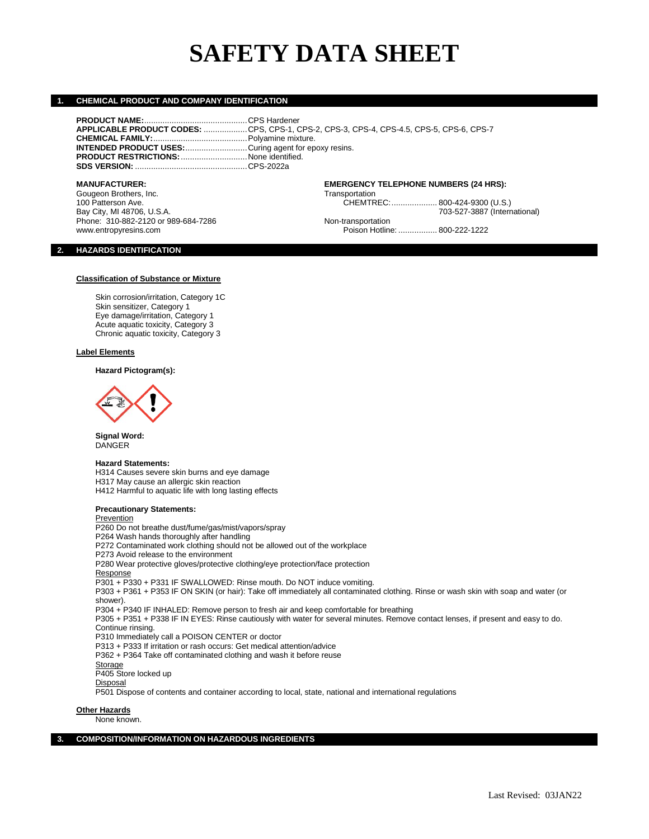# **SAFETY DATA SHEET**

CHEMTREC:..................... 800-424-9300 (U.S.)

Poison Hotline: ................. 800-222-1222

# **1. CHEMICAL PRODUCT AND COMPANY IDENTIFICATION**

| <b>MANUFACTURER:</b>                                         | <b>EMERGENCY TELEPHONE NUMBERS (24 HRS):</b>                                            |
|--------------------------------------------------------------|-----------------------------------------------------------------------------------------|
|                                                              |                                                                                         |
| <b>PRODUCT RESTRICTIONS:</b> None identified.                |                                                                                         |
| <b>INTENDED PRODUCT USES:</b> Curing agent for epoxy resins. |                                                                                         |
|                                                              |                                                                                         |
|                                                              | APPLICABLE PRODUCT CODES: CPS, CPS-1, CPS-2, CPS-3, CPS-4, CPS-4.5, CPS-5, CPS-6, CPS-7 |
|                                                              |                                                                                         |
|                                                              |                                                                                         |

Gougeon Brothers, Inc. Communication Communication CHEMTR Transportation CHEMTR CHEMTR CHEMTR Bay City, MI 48706, U.S.A. 703-624-7286<br>
Phone: 310-882-2120 or 989-684-7286 The Research Contransportation Mon-transportation Phone: 310-882-2120 or 989-684-7286<br>www.entropyresins.com

### **2. HAZARDS IDENTIFICATION**

### **Classification of Substance or Mixture**

Skin corrosion/irritation, Category 1C Skin sensitizer, Category 1 Eye damage/irritation, Category 1 Acute aquatic toxicity, Category 3 Chronic aquatic toxicity, Category 3

### **Label Elements**

# **Hazard Pictogram(s):**



**Signal Word:** DANGER

### **Hazard Statements:**

H314 Causes severe skin burns and eye damage H317 May cause an allergic skin reaction H412 Harmful to aquatic life with long lasting effects

### **Precautionary Statements:**

**Prevention** P260 Do not breathe dust/fume/gas/mist/vapors/spray P264 Wash hands thoroughly after handling P272 Contaminated work clothing should not be allowed out of the workplace P273 Avoid release to the environment P280 Wear protective gloves/protective clothing/eye protection/face protection Response P301 + P330 + P331 IF SWALLOWED: Rinse mouth. Do NOT induce vomiting. P303 + P361 + P353 IF ON SKIN (or hair): Take off immediately all contaminated clothing. Rinse or wash skin with soap and water (or shower). P304 + P340 IF INHALED: Remove person to fresh air and keep comfortable for breathing P305 + P351 + P338 IF IN EYES: Rinse cautiously with water for several minutes. Remove contact lenses, if present and easy to do. Continue rinsing. P310 Immediately call a POISON CENTER or doctor P313 + P333 If irritation or rash occurs: Get medical attention/advice P362 + P364 Take off contaminated clothing and wash it before reuse **Storage** P405 Store locked up Disposal P501 Dispose of contents and container according to local, state, national and international regulations

**Other Hazards** None known.

### **3. COMPOSITION/INFORMATION ON HAZARDOUS INGREDIENTS**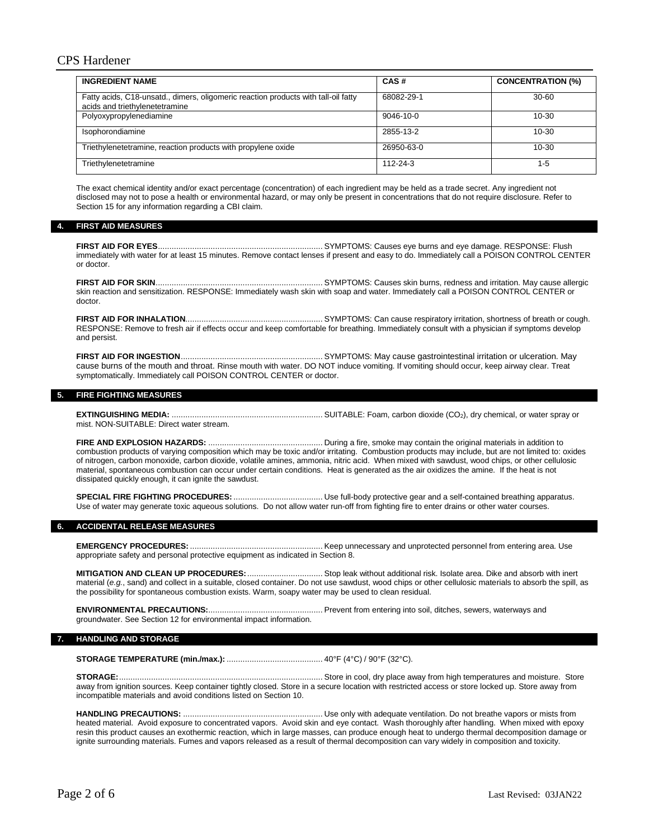# CPS Hardener

| <b>INGREDIENT NAME</b>                                                                                               | CAS#            | <b>CONCENTRATION (%)</b> |
|----------------------------------------------------------------------------------------------------------------------|-----------------|--------------------------|
| Fatty acids, C18-unsatd., dimers, oligomeric reaction products with tall-oil fatty<br>acids and triethylenetetramine | 68082-29-1      | $30 - 60$                |
| Polyoxypropylenediamine                                                                                              | $9046 - 10 - 0$ | $10 - 30$                |
| Isophorondiamine                                                                                                     | 2855-13-2       | $10 - 30$                |
| Triethylenetetramine, reaction products with propylene oxide                                                         | 26950-63-0      | $10 - 30$                |
| Triethylenetetramine                                                                                                 | 112-24-3        | 1-5                      |

The exact chemical identity and/or exact percentage (concentration) of each ingredient may be held as a trade secret. Any ingredient not disclosed may not to pose a health or environmental hazard, or may only be present in concentrations that do not require disclosure. Refer to Section 15 for any information regarding a CBI claim.

### **4. FIRST AID MEASURES**

**FIRST AID FOR EYES**........................................................................ SYMPTOMS: Causes eye burns and eye damage. RESPONSE: Flush immediately with water for at least 15 minutes. Remove contact lenses if present and easy to do. Immediately call a POISON CONTROL CENTER or doctor.

### **FIRST AID FOR SKIN**......................................................................... SYMPTOMS: Causes skin burns, redness and irritation. May cause allergic skin reaction and sensitization. RESPONSE: Immediately wash skin with soap and water. Immediately call a POISON CONTROL CENTER or doctor.

**FIRST AID FOR INHALATION**............................................................ SYMPTOMS: Can cause respiratory irritation, shortness of breath or cough. RESPONSE: Remove to fresh air if effects occur and keep comfortable for breathing. Immediately consult with a physician if symptoms develop and persist.

### **FIRST AID FOR INGESTION**.............................................................. SYMPTOMS: May cause gastrointestinal irritation or ulceration. May cause burns of the mouth and throat. Rinse mouth with water. DO NOT induce vomiting. If vomiting should occur, keep airway clear. Treat symptomatically. Immediately call POISON CONTROL CENTER or doctor.

# **5. FIRE FIGHTING MEASURES**

**EXTINGUISHING MEDIA:** .................................................................. SUITABLE: Foam, carbon dioxide (CO2), dry chemical, or water spray or mist. NON-SUITABLE: Direct water stream.

**FIRE AND EXPLOSION HAZARDS:** .................................................. During a fire, smoke may contain the original materials in addition to combustion products of varying composition which may be toxic and/or irritating. Combustion products may include, but are not limited to: oxides of nitrogen, carbon monoxide, carbon dioxide, volatile amines, ammonia, nitric acid. When mixed with sawdust, wood chips, or other cellulosic material, spontaneous combustion can occur under certain conditions. Heat is generated as the air oxidizes the amine. If the heat is not dissipated quickly enough, it can ignite the sawdust.

**SPECIAL FIRE FIGHTING PROCEDURES:** ....................................... Use full-body protective gear and a self-contained breathing apparatus. Use of water may generate toxic aqueous solutions. Do not allow water run-off from fighting fire to enter drains or other water courses.

### **6. ACCIDENTAL RELEASE MEASURES**

**EMERGENCY PROCEDURES:** .......................................................... Keep unnecessary and unprotected personnel from entering area. Use appropriate safety and personal protective equipment as indicated in Section 8.

**MITIGATION AND CLEAN UP PROCEDURES:**................................. Stop leak without additional risk. Isolate area. Dike and absorb with inert material (*e.g.*, sand) and collect in a suitable, closed container. Do not use sawdust, wood chips or other cellulosic materials to absorb the spill, as the possibility for spontaneous combustion exists. Warm, soapy water may be used to clean residual.

**ENVIRONMENTAL PRECAUTIONS:**.................................................. Prevent from entering into soil, ditches, sewers, waterways and groundwater. See Section 12 for environmental impact information.

### **7. HANDLING AND STORAGE**

**STORAGE TEMPERATURE (min./max.):** .......................................... 40°F (4°C) / 90°F (32°C).

**STORAGE:**......................................................................................... Store in cool, dry place away from high temperatures and moisture. Store away from ignition sources. Keep container tightly closed. Store in a secure location with restricted access or store locked up. Store away from incompatible materials and avoid conditions listed on Section 10.

**HANDLING PRECAUTIONS:** ............................................................. Use only with adequate ventilation. Do not breathe vapors or mists from heated material. Avoid exposure to concentrated vapors. Avoid skin and eye contact. Wash thoroughly after handling. When mixed with epoxy resin this product causes an exothermic reaction, which in large masses, can produce enough heat to undergo thermal decomposition damage or ignite surrounding materials. Fumes and vapors released as a result of thermal decomposition can vary widely in composition and toxicity.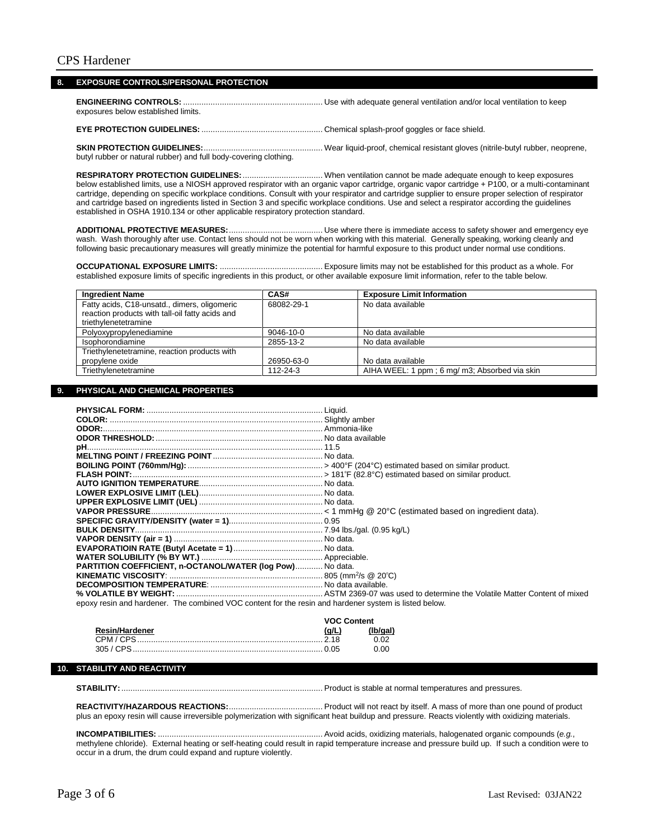### **8. EXPOSURE CONTROLS/PERSONAL PROTECTION**

**ENGINEERING CONTROLS:** ............................................................. Use with adequate general ventilation and/or local ventilation to keep exposures below established limits.

**EYE PROTECTION GUIDELINES:** ..................................................... Chemical splash-proof goggles or face shield.

### **SKIN PROTECTION GUIDELINES:**.................................................... Wear liquid-proof, chemical resistant gloves (nitrile-butyl rubber, neoprene, butyl rubber or natural rubber) and full body-covering clothing.

**RESPIRATORY PROTECTION GUIDELINES:**................................... When ventilation cannot be made adequate enough to keep exposures below established limits, use a NIOSH approved respirator with an organic vapor cartridge, organic vapor cartridge + P100, or a multi-contaminant cartridge, depending on specific workplace conditions. Consult with your respirator and cartridge supplier to ensure proper selection of respirator and cartridge based on ingredients listed in Section 3 and specific workplace conditions. Use and select a respirator according the guidelines established in OSHA 1910.134 or other applicable respiratory protection standard.

**ADDITIONAL PROTECTIVE MEASURES:**......................................... Use where there is immediate access to safety shower and emergency eye wash. Wash thoroughly after use. Contact lens should not be worn when working with this material. Generally speaking, working cleanly and following basic precautionary measures will greatly minimize the potential for harmful exposure to this product under normal use conditions.

**OCCUPATIONAL EXPOSURE LIMITS:** ............................................. Exposure limits may not be established for this product as a whole. For established exposure limits of specific ingredients in this product, or other available exposure limit information, refer to the table below.

| <b>Ingredient Name</b>                                                                                                  | CAS#            | <b>Exposure Limit Information</b>             |
|-------------------------------------------------------------------------------------------------------------------------|-----------------|-----------------------------------------------|
| Fatty acids, C18-unsatd., dimers, oligomeric<br>reaction products with tall-oil fatty acids and<br>triethylenetetramine | 68082-29-1      | No data available                             |
| Polyoxypropylenediamine                                                                                                 | $9046 - 10 - 0$ | No data available                             |
| Isophorondiamine                                                                                                        | 2855-13-2       | No data available                             |
| Triethylenetetramine, reaction products with                                                                            |                 |                                               |
| propylene oxide                                                                                                         | 26950-63-0      | No data available                             |
| Triethylenetetramine                                                                                                    | 112-24-3        | AIHA WEEL: 1 ppm; 6 mg/ m3; Absorbed via skin |

### **9. PHYSICAL AND CHEMICAL PROPERTIES**

| PARTITION COEFFICIENT, n-OCTANOL/WATER (log Pow) No data. |  |
|-----------------------------------------------------------|--|
|                                                           |  |
|                                                           |  |
|                                                           |  |
|                                                           |  |

epoxy resin and hardener. The combined VOC content for the resin and hardener system is listed below.

|                       | <b>VOC Content</b> |      |
|-----------------------|--------------------|------|
| <b>Resin/Hardener</b> | (a/L)              |      |
|                       |                    |      |
| $305 / CPS$ .         |                    | റ ററ |

### **10. STABILITY AND REACTIVITY**

**STABILITY:**........................................................................................ Product is stable at normal temperatures and pressures.

**REACTIVITY/HAZARDOUS REACTIONS:**......................................... Product will not react by itself. A mass of more than one pound of product plus an epoxy resin will cause irreversible polymerization with significant heat buildup and pressure. Reacts violently with oxidizing materials.

**INCOMPATIBILITIES:** ........................................................................ Avoid acids, oxidizing materials, halogenated organic compounds (*e.g.*, methylene chloride). External heating or self-heating could result in rapid temperature increase and pressure build up. If such a condition were to occur in a drum, the drum could expand and rupture violently.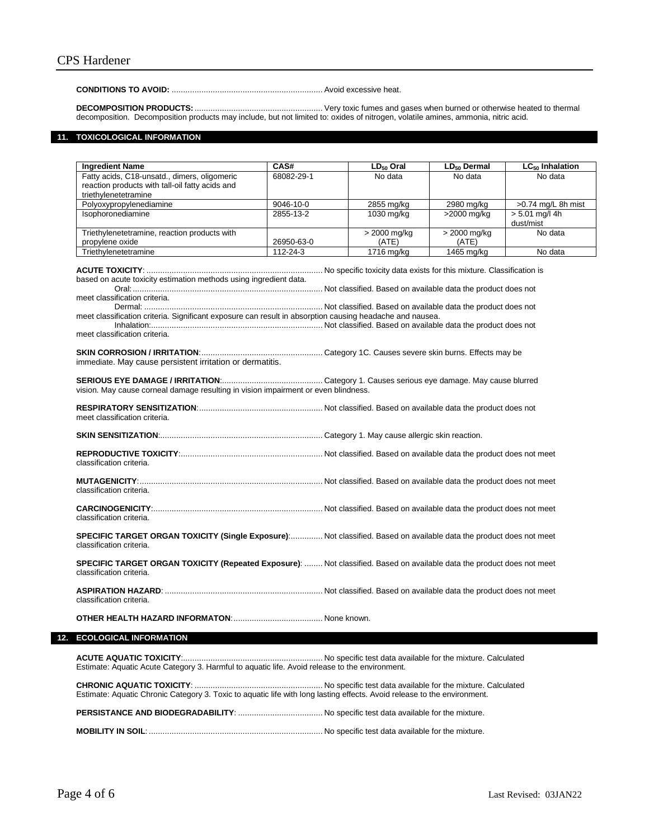### **CONDITIONS TO AVOID:** .................................................................. Avoid excessive heat.

**DECOMPOSITION PRODUCTS:**........................................................ Very toxic fumes and gases when burned or otherwise heated to thermal decomposition. Decomposition products may include, but not limited to: oxides of nitrogen, volatile amines, ammonia, nitric acid.

### **11. TOXICOLOGICAL INFORMATION**

| <b>Ingredient Name</b>                                                                                                                                                                                                                          | CAS#       | $LD_{50}$ Oral        | LD <sub>50</sub> Dermal | LC <sub>50</sub> Inhalation   |
|-------------------------------------------------------------------------------------------------------------------------------------------------------------------------------------------------------------------------------------------------|------------|-----------------------|-------------------------|-------------------------------|
| Fatty acids, C18-unsatd., dimers, oligomeric<br>reaction products with tall-oil fatty acids and<br>triethylenetetramine                                                                                                                         | 68082-29-1 | No data               | No data                 | No data                       |
| Polyoxypropylenediamine                                                                                                                                                                                                                         | 9046-10-0  | 2855 mg/kg            | 2980 mg/kg              | >0.74 mg/L 8h mist            |
| Isophoronediamine                                                                                                                                                                                                                               | 2855-13-2  | 1030 mg/kg            | >2000 mg/kg             | $> 5.01$ mg/l 4h<br>dust/mist |
| Triethylenetetramine, reaction products with<br>propylene oxide                                                                                                                                                                                 | 26950-63-0 | > 2000 mg/kg<br>(ATE) | > 2000 mg/kg<br>(ATE)   | No data                       |
| Triethylenetetramine                                                                                                                                                                                                                            | 112-24-3   | 1716 mg/kg            | 1465 mg/kg              | No data                       |
| based on acute toxicity estimation methods using ingredient data.<br>meet classification criteria.<br>meet classification criteria. Significant exposure can result in absorption causing headache and nausea.<br>meet classification criteria. |            |                       |                         |                               |
| immediate. May cause persistent irritation or dermatitis.                                                                                                                                                                                       |            |                       |                         |                               |
| vision. May cause corneal damage resulting in vision impairment or even blindness.                                                                                                                                                              |            |                       |                         |                               |
| meet classification criteria.                                                                                                                                                                                                                   |            |                       |                         |                               |
|                                                                                                                                                                                                                                                 |            |                       |                         |                               |
| classification criteria.                                                                                                                                                                                                                        |            |                       |                         |                               |
| classification criteria.                                                                                                                                                                                                                        |            |                       |                         |                               |
| classification criteria.                                                                                                                                                                                                                        |            |                       |                         |                               |
| SPECIFIC TARGET ORGAN TOXICITY (Single Exposure): Not classified. Based on available data the product does not meet<br>classification criteria.                                                                                                 |            |                       |                         |                               |
| SPECIFIC TARGET ORGAN TOXICITY (Repeated Exposure):  Not classified. Based on available data the product does not meet<br>classification criteria.                                                                                              |            |                       |                         |                               |
| classification criteria.                                                                                                                                                                                                                        |            |                       |                         |                               |
|                                                                                                                                                                                                                                                 |            |                       |                         |                               |
| <b>ECOLOGICAL INFORMATION</b>                                                                                                                                                                                                                   |            |                       |                         |                               |
| Estimate: Aquatic Acute Category 3. Harmful to aquatic life. Avoid release to the environment.                                                                                                                                                  |            |                       |                         |                               |

**CHRONIC AQUATIC TOXICITY**: ........................................................ No specific test data available for the mixture. Calculated Estimate: Aquatic Chronic Category 3. Toxic to aquatic life with long lasting effects. Avoid release to the environment.

**PERSISTANCE AND BIODEGRADABILITY**: ..................................... No specific test data available for the mixture.

**MOBILITY IN SOIL**: ............................................................................ No specific test data available for the mixture.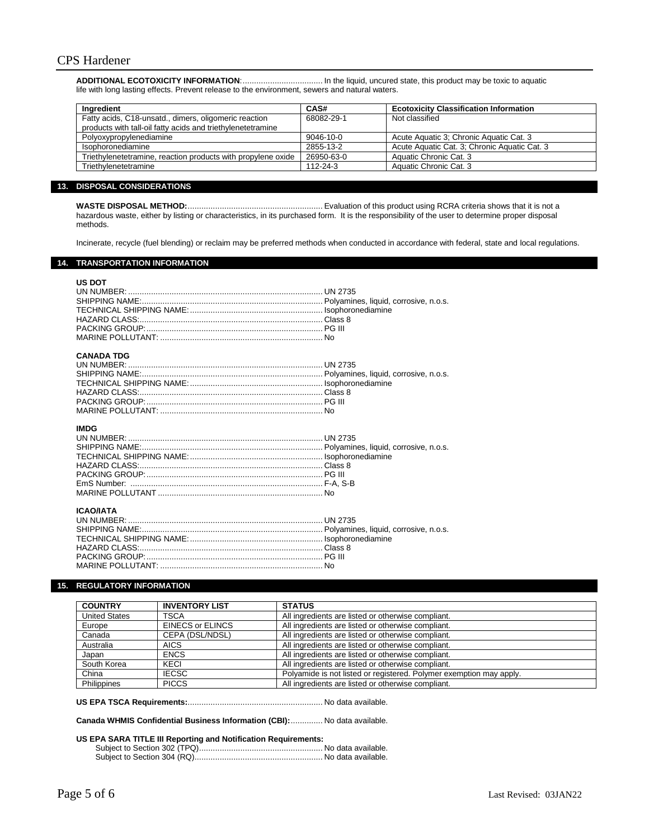**ADDITIONAL ECOTOXICITY INFORMATION**:................................... In the liquid, uncured state, this product may be toxic to aquatic life with long lasting effects. Prevent release to the environment, sewers and natural waters.

| Ingredient                                                   | CAS#            | <b>Ecotoxicity Classification Information</b> |
|--------------------------------------------------------------|-----------------|-----------------------------------------------|
| Fatty acids, C18-unsatd., dimers, oligomeric reaction        | 68082-29-1      | Not classified                                |
| products with tall-oil fatty acids and triethylenetetramine  |                 |                                               |
| Polyoxypropylenediamine                                      | $9046 - 10 - 0$ | Acute Aquatic 3; Chronic Aquatic Cat. 3       |
| Isophoronediamine                                            | 2855-13-2       | Acute Aguatic Cat. 3: Chronic Aguatic Cat. 3  |
| Triethylenetetramine, reaction products with propylene oxide | 26950-63-0      | Aquatic Chronic Cat. 3                        |
| Triethvlenetetramine                                         | $112 - 24 - 3$  | Aquatic Chronic Cat. 3                        |

# **13. DISPOSAL CONSIDERATIONS**

**WASTE DISPOSAL METHOD:**........................................................... Evaluation of this product using RCRA criteria shows that it is not a hazardous waste, either by listing or characteristics, in its purchased form. It is the responsibility of the user to determine proper disposal methods.

Incinerate, recycle (fuel blending) or reclaim may be preferred methods when conducted in accordance with federal, state and local regulations.

### **14. TRANSPORTATION INFORMATION**

| <b>US DOT</b>     |  |
|-------------------|--|
| <b>CANADA TDG</b> |  |
| <b>IMDG</b>       |  |
| <b>ICAO/IATA</b>  |  |

### **15. REGULATORY INFORMATION**

| <b>COUNTRY</b>       | <b>INVENTORY LIST</b> | <b>STATUS</b>                                                       |
|----------------------|-----------------------|---------------------------------------------------------------------|
| <b>United States</b> | TSCA                  | All ingredients are listed or otherwise compliant.                  |
| Europe               | EINECS or ELINCS      | All ingredients are listed or otherwise compliant.                  |
| Canada               | CEPA (DSL/NDSL)       | All ingredients are listed or otherwise compliant.                  |
| Australia            | <b>AICS</b>           | All ingredients are listed or otherwise compliant.                  |
| Japan                | <b>ENCS</b>           | All ingredients are listed or otherwise compliant.                  |
| South Korea          | KECI                  | All ingredients are listed or otherwise compliant.                  |
| China                | <b>IECSC</b>          | Polyamide is not listed or registered. Polymer exemption may apply. |
| Philippines          | <b>PICCS</b>          | All ingredients are listed or otherwise compliant.                  |

**US EPA TSCA Requirements:**........................................................... No data available.

**Canada WHMIS Confidential Business Information (CBI):**.............. No data available.

### **US EPA SARA TITLE III Reporting and Notification Requirements:**